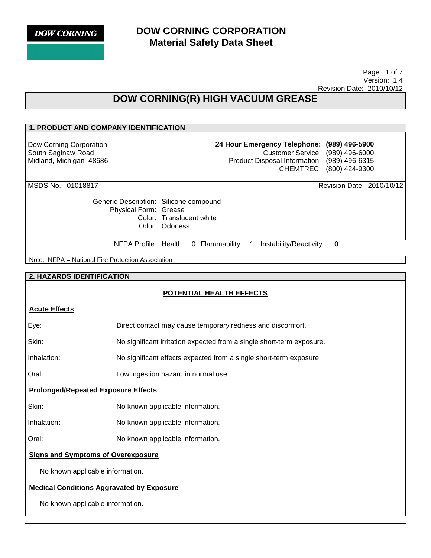## **DOW CORNING CORPORATION Material Safety Data Sheet**

 Page: 1 of 7 Version: 1.4 Revision Date: 2010/10/12

## **DOW CORNING(R) HIGH VACUUM GREASE**

### **1. PRODUCT AND COMPANY IDENTIFICATION**

Dow Corning Corporation South Saginaw Road Midland, Michigan 48686 **24 Hour Emergency Telephone: (989) 496-5900** Customer Service: (989) 496-6000 Product Disposal Information: (989) 496-6315 CHEMTREC: (800) 424-9300

MSDS No.: 01018817 Revision Date: 2010/10/12

Generic Description: Silicone compound Physical Form: Grease Color: Translucent white Odor: Odorless

NFPA Profile: Health 0 Flammability 1 Instability/Reactivity 0

Note: NFPA = National Fire Protection Association

#### **2. HAZARDS IDENTIFICATION**

#### **POTENTIAL HEALTH EFFECTS**

#### **Acute Effects**

| Eye:                                             | Direct contact may cause temporary redness and discomfort.            |  |
|--------------------------------------------------|-----------------------------------------------------------------------|--|
| Skin:                                            | No significant irritation expected from a single short-term exposure. |  |
| Inhalation:                                      | No significant effects expected from a single short-term exposure.    |  |
| Oral:                                            | Low ingestion hazard in normal use.                                   |  |
| <b>Prolonged/Repeated Exposure Effects</b>       |                                                                       |  |
| Skin:                                            | No known applicable information.                                      |  |
| Inhalation:                                      | No known applicable information.                                      |  |
| Oral:                                            | No known applicable information.                                      |  |
| <b>Signs and Symptoms of Overexposure</b>        |                                                                       |  |
| No known applicable information.                 |                                                                       |  |
| <b>Medical Conditions Aggravated by Exposure</b> |                                                                       |  |
| No known applicable information.                 |                                                                       |  |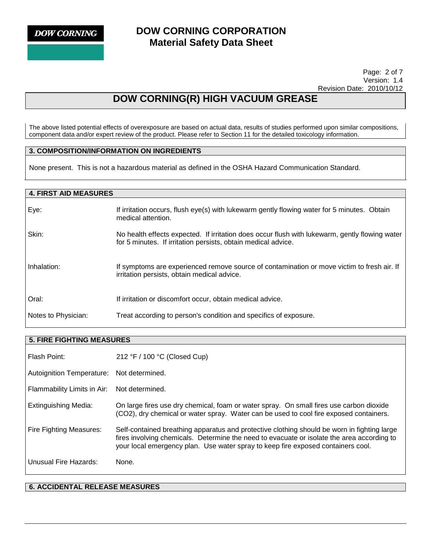### **DOW CORNING CORPORATION Material Safety Data Sheet**

 Page: 2 of 7 Version: 1.4 Revision Date: 2010/10/12

## **DOW CORNING(R) HIGH VACUUM GREASE**

The above listed potential effects of overexposure are based on actual data, results of studies performed upon similar compositions, component data and/or expert review of the product. Please refer to Section 11 for the detailed toxicology information.

#### **3. COMPOSITION/INFORMATION ON INGREDIENTS**

None present. This is not a hazardous material as defined in the OSHA Hazard Communication Standard.

# **4. FIRST AID MEASURES**  Eye: If irritation occurs, flush eye(s) with lukewarm gently flowing water for 5 minutes. Obtain medical attention. Skin: No health effects expected. If irritation does occur flush with lukewarm, gently flowing water for 5 minutes. If irritation persists, obtain medical advice. Inhalation: If symptoms are experienced remove source of contamination or move victim to fresh air. If irritation persists, obtain medical advice. Oral: If irritation or discomfort occur, obtain medical advice. Notes to Physician: Treat according to person's condition and specifics of exposure.

| <b>5. FIRE FIGHTING MEASURES</b> |                                                                                                                                                                                                                                                                               |  |
|----------------------------------|-------------------------------------------------------------------------------------------------------------------------------------------------------------------------------------------------------------------------------------------------------------------------------|--|
| Flash Point:                     | 212 °F / 100 °C (Closed Cup)                                                                                                                                                                                                                                                  |  |
| <b>Autoignition Temperature:</b> | Not determined.                                                                                                                                                                                                                                                               |  |
| Flammability Limits in Air:      | Not determined.                                                                                                                                                                                                                                                               |  |
| <b>Extinguishing Media:</b>      | On large fires use dry chemical, foam or water spray. On small fires use carbon dioxide<br>(CO2), dry chemical or water spray. Water can be used to cool fire exposed containers.                                                                                             |  |
| Fire Fighting Measures:          | Self-contained breathing apparatus and protective clothing should be worn in fighting large<br>fires involving chemicals. Determine the need to evacuate or isolate the area according to<br>your local emergency plan. Use water spray to keep fire exposed containers cool. |  |
| Unusual Fire Hazards:            | None.                                                                                                                                                                                                                                                                         |  |

#### **6. ACCIDENTAL RELEASE MEASURES**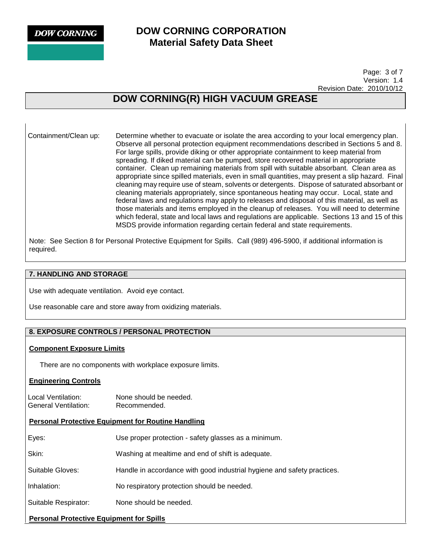### **DOW CORNING CORPORATION Material Safety Data Sheet**

 Page: 3 of 7 Version: 1.4 Revision Date: 2010/10/12

## **DOW CORNING(R) HIGH VACUUM GREASE**

Containment/Clean up: Determine whether to evacuate or isolate the area according to your local emergency plan. Observe all personal protection equipment recommendations described in Sections 5 and 8. For large spills, provide diking or other appropriate containment to keep material from spreading. If diked material can be pumped, store recovered material in appropriate container. Clean up remaining materials from spill with suitable absorbant. Clean area as appropriate since spilled materials, even in small quantities, may present a slip hazard. Final cleaning may require use of steam, solvents or detergents. Dispose of saturated absorbant or cleaning materials appropriately, since spontaneous heating may occur. Local, state and federal laws and regulations may apply to releases and disposal of this material, as well as those materials and items employed in the cleanup of releases. You will need to determine which federal, state and local laws and regulations are applicable. Sections 13 and 15 of this MSDS provide information regarding certain federal and state requirements.

Note: See Section 8 for Personal Protective Equipment for Spills. Call (989) 496-5900, if additional information is required.

#### **7. HANDLING AND STORAGE**

Use with adequate ventilation. Avoid eye contact.

Use reasonable care and store away from oxidizing materials.

#### **8. EXPOSURE CONTROLS / PERSONAL PROTECTION**

#### **Component Exposure Limits**

There are no components with workplace exposure limits.

#### **Engineering Controls**

Local Ventilation: None should be needed. General Ventilation: Recommended.

#### **Personal Protective Equipment for Routine Handling**

| <b>Personal Protective Equipment for Spills</b> |                                                                         |  |
|-------------------------------------------------|-------------------------------------------------------------------------|--|
| Suitable Respirator:                            | None should be needed.                                                  |  |
| Inhalation:                                     | No respiratory protection should be needed.                             |  |
| Suitable Gloves:                                | Handle in accordance with good industrial hygiene and safety practices. |  |
| Skin:                                           | Washing at mealtime and end of shift is adequate.                       |  |
| Eyes:                                           | Use proper protection - safety glasses as a minimum.                    |  |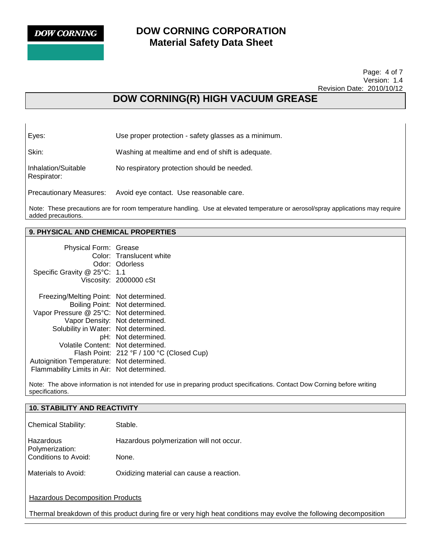Respirator:

### **DOW CORNING CORPORATION Material Safety Data Sheet**

 Page: 4 of 7 Version: 1.4 Revision Date: 2010/10/12

## **DOW CORNING(R) HIGH VACUUM GREASE**

Eyes: Use proper protection - safety glasses as a minimum.

Skin: Washing at mealtime and end of shift is adequate.

Inhalation/Suitable No respiratory protection should be needed.

Precautionary Measures: Avoid eye contact. Use reasonable care.

Note: These precautions are for room temperature handling. Use at elevated temperature or aerosol/spray applications may require added precautions.

#### **9. PHYSICAL AND CHEMICAL PROPERTIES**

| Physical Form: Grease<br>Specific Gravity @ 25°C: 1.1                                                                     | Color: Translucent white<br>Odor: Odorless<br>Viscosity: 2000000 cSt                    |
|---------------------------------------------------------------------------------------------------------------------------|-----------------------------------------------------------------------------------------|
| Freezing/Melting Point: Not determined.<br>Vapor Pressure @ 25°C: Not determined.<br>Solubility in Water: Not determined. | Boiling Point: Not determined.<br>Vapor Density: Not determined.<br>pH: Not determined. |
| Volatile Content: Not determined.                                                                                         | Flash Point: 212 °F / 100 °C (Closed Cup)                                               |
| Autoignition Temperature: Not determined.<br>Flammability Limits in Air: Not determined.                                  |                                                                                         |

Note: The above information is not intended for use in preparing product specifications. Contact Dow Corning before writing specifications.

| <b>10. STABILITY AND REACTIVITY</b>                                                                               |                                          |  |
|-------------------------------------------------------------------------------------------------------------------|------------------------------------------|--|
| <b>Chemical Stability:</b>                                                                                        | Stable.                                  |  |
| Hazardous<br>Polymerization:                                                                                      | Hazardous polymerization will not occur. |  |
| Conditions to Avoid:                                                                                              | None.                                    |  |
| Materials to Avoid:                                                                                               | Oxidizing material can cause a reaction. |  |
| <b>Hazardous Decomposition Products</b>                                                                           |                                          |  |
| Thermal breakdown of this product during fire or very high heat conditions may evolve the following decomposition |                                          |  |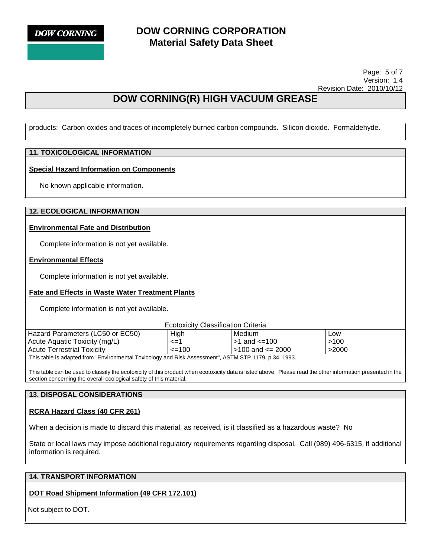

### **DOW CORNING CORPORATION Material Safety Data Sheet**

 Page: 5 of 7 Version: 1.4 Revision Date: 2010/10/12

## **DOW CORNING(R) HIGH VACUUM GREASE**

products: Carbon oxides and traces of incompletely burned carbon compounds. Silicon dioxide. Formaldehyde.

#### **11. TOXICOLOGICAL INFORMATION**

#### **Special Hazard Information on Components**

No known applicable information.

#### **12. ECOLOGICAL INFORMATION**

#### **Environmental Fate and Distribution**

Complete information is not yet available.

#### **Environmental Effects**

Complete information is not yet available.

#### **Fate and Effects in Waste Water Treatment Plants**

Complete information is not yet available.

Ecotoxicity Classification Criteria

| Hazard Parameters (LC50 or EC50)                                                                                                                                                                                                | High       | Medium                   | Low   |
|---------------------------------------------------------------------------------------------------------------------------------------------------------------------------------------------------------------------------------|------------|--------------------------|-------|
| Acute Aquatic Toxicity (mg/L)                                                                                                                                                                                                   | <=1        | l >1 and <=100           | >100  |
| <b>Acute Terrestrial Toxicity</b>                                                                                                                                                                                               | $\leq$ 100 | $\vert$ >100 and <= 2000 | >2000 |
| $\tau$ . The state of the state of the state of the state of the state of the state of the state of the state of the state of the state of the state of the state of the state of the state of the state of the state of the st |            |                          |       |

This table is adapted from "Environmental Toxicology and Risk Assessment", ASTM STP 1179, p.34, 1993.

This table can be used to classify the ecotoxicity of this product when ecotoxicity data is listed above. Please read the other information presented in the section concerning the overall ecological safety of this material.

#### **13. DISPOSAL CONSIDERATIONS**

#### **RCRA Hazard Class (40 CFR 261)**

When a decision is made to discard this material, as received, is it classified as a hazardous waste? No

State or local laws may impose additional regulatory requirements regarding disposal. Call (989) 496-6315, if additional information is required.

#### **14. TRANSPORT INFORMATION**

#### **DOT Road Shipment Information (49 CFR 172.101)**

Not subject to DOT.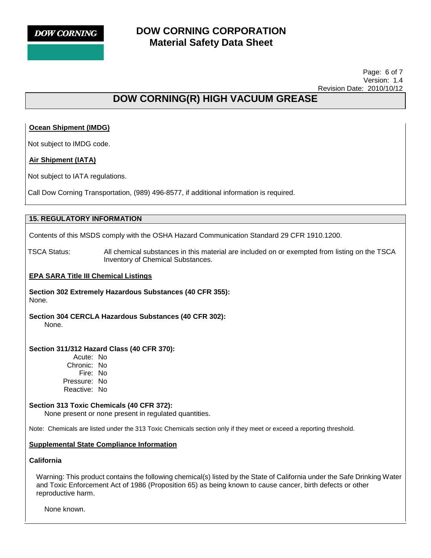

### **DOW CORNING CORPORATION Material Safety Data Sheet**

 Page: 6 of 7 Version: 1.4 Revision Date: 2010/10/12

## **DOW CORNING(R) HIGH VACUUM GREASE**

#### **Ocean Shipment (IMDG)**

Not subject to IMDG code.

#### **Air Shipment (IATA)**

Not subject to IATA regulations.

Call Dow Corning Transportation, (989) 496-8577, if additional information is required.

#### **15. REGULATORY INFORMATION**

Contents of this MSDS comply with the OSHA Hazard Communication Standard 29 CFR 1910.1200.

TSCA Status: All chemical substances in this material are included on or exempted from listing on the TSCA Inventory of Chemical Substances.

#### **EPA SARA Title III Chemical Listings**

**Section 302 Extremely Hazardous Substances (40 CFR 355):**  None.

**Section 304 CERCLA Hazardous Substances (40 CFR 302):**  None.

#### **Section 311/312 Hazard Class (40 CFR 370):**

Acute: No Chronic: No Fire: No Pressure: No Reactive: No

#### **Section 313 Toxic Chemicals (40 CFR 372):**

None present or none present in regulated quantities.

Note: Chemicals are listed under the 313 Toxic Chemicals section only if they meet or exceed a reporting threshold.

#### **Supplemental State Compliance Information**

#### **California**

Warning: This product contains the following chemical(s) listed by the State of California under the Safe Drinking Water and Toxic Enforcement Act of 1986 (Proposition 65) as being known to cause cancer, birth defects or other reproductive harm.

None known.